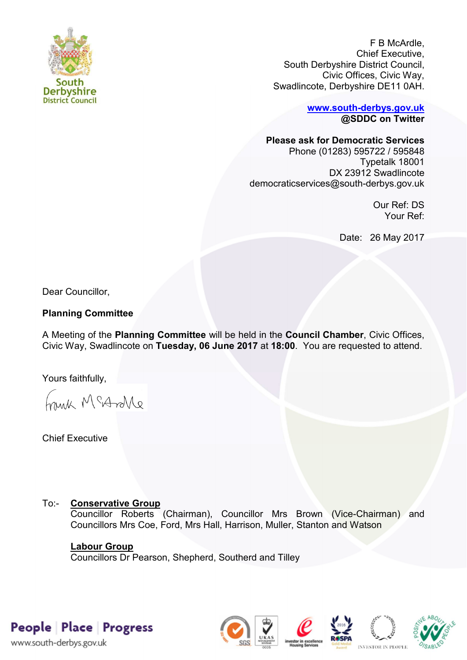

F B McArdle, Chief Executive, South Derbyshire District Council, Civic Offices, Civic Way, Swadlincote, Derbyshire DE11 0AH.

> **[www.south-derbys.gov.uk](http://www.south-derbys.gov.uk/) @SDDC on Twitter**

**Please ask for Democratic Services** 

Phone (01283) 595722 / 595848 Typetalk 18001 DX 23912 Swadlincote democraticservices@south-derbys.gov.uk

> Our Ref: DS Your Ref:

Date: 26 May 2017

Dear Councillor,

# **Planning Committee**

A Meeting of the **Planning Committee** will be held in the **Council Chamber**, Civic Offices, Civic Way, Swadlincote on **Tuesday, 06 June 2017** at **18:00**. You are requested to attend.

Yours faithfully,

Frink McAndre

Chief Executive

# To:- **Conservative Group**

Councillor Roberts (Chairman), Councillor Mrs Brown (Vice-Chairman) and Councillors Mrs Coe, Ford, Mrs Hall, Harrison, Muller, Stanton and Watson

# **Labour Group**

Councillors Dr Pearson, Shepherd, Southerd and Tilley

People Place Progress

www.south-derbys.gov.uk